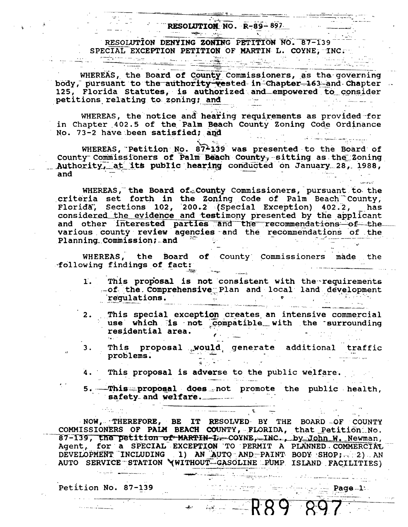## RESOLUTION NO.  $R-89-897$

<u> 1908 - Jan Bernard Barbara, mart</u>

RESOLUTION DENYING ZONING PETITION NO. 87-139 SPECIAL EXCEPTION PETITION OF MARTIN L. COYNE, INC. 

WHEREAS, the Board of County Commissioners, as the governing body, pursuant to the authority vested in Chapter 163 and Chapter 125, Florida Statutes, is authorized and empowered to consider للسفر الكاف أنها المسافر التي المتحد الصافر.<br>والتي المستخدم المستخدم المستخدم المستخدم petitions relating to zoning; and

WHEREAS, the notice and hearing requirements as provided for in Chapter 402.5 of the Palm Beach County Zoning Code Ordinance No. 73-2 have been satisfied; and  $\label{eq:2.1} \begin{array}{ll} \mathcal{E}^{\text{max}}_{\text{max}} & \mathcal{E}^{\text{max}}_{\text{max}} \\ \mathcal{E}^{\text{max}}_{\text{max}} & \mathcal{E}^{\text{max}}_{\text{max}} \end{array}$ الي الموسيق ولي المسلم المسلم المسلم الأولى.<br>الموسيق والمسلم المسلم المسلم المسلم الأولى المسلم المسلم المسلم المسلم المسلم المسلم المسلم المسلم المسلم الم

WHEREAS, Petition No. 87-139 was presented to the Board of County Commissioners of Palm Beach County, sitting as the Zoning \_\_\_ Authority, at its public hearing conducted on January 28, 1988, and

WHEREAS, the Board of County Commissioners, pursuant to the criteria set forth in the Zoning Code of Palm Beach County, Florida, Sections 102, 200.2 (Special Exception) 402.2, has<br>considered the evidence and testimony presented by the applicant and other interested parties and the recommendations of the various county review agencies and the recommendations of the Planning Commission; and Family Section a a shekarar 2007<br>Matuki

WHEREAS, the Board of County Commissioners made the n a bhliain 1972.<br>Bailtean Chomainn following findings of fact:

- This proposal is not consistent with the requirements  $\mathbf{1}$ . -of the Comprehensive Plan and local land development regulations.
- This special exception creates an intensive commercial  $2.$ use which is not compatible with the surrounding residential area. ali in
- This proposal would generate additional traffic 3. e de la componentación de la componentación de la componentación de la componentación de la componentación de<br>Estados de la componentación de la componentación de la componentación de la componentación de la componentaci problems.
- $4.1$ This proposal is adverse to the public welfare.

and the community of the Program.

5. This proposal does not promote the public health, safety and welfare. The contract of the contract of the contract of the contract of the contract of the contract of the contract of the contract of the contract of the contract of the contract of the contract of the contra  $\mathcal{L}_{\text{max}}$  and  $\mathcal{L}_{\text{max}}$ 

era<br>Bibliograph Arawa a compositor de la calabación de la construcción

 $- 189897$ 

 $\begin{picture}(150,10) \put(0,0){\vector(1,0){100}} \put(15,0){\vector(1,0){100}} \put(15,0){\vector(1,0){100}} \put(15,0){\vector(1,0){100}} \put(15,0){\vector(1,0){100}} \put(15,0){\vector(1,0){100}} \put(15,0){\vector(1,0){100}} \put(15,0){\vector(1,0){100}} \put(15,0){\vector(1,0){100}} \put(15,0){\vector(1,0){100}} \put(15,0){\vector(1,0){100}}$ 

NOW, THEREFORE, BE IT RESOLVED BY THE BOARD OF COUNTY COMMISSIONERS OF PALM BEACH COUNTY, FLORIDA, that Petition No. 87-139, the petition of MARTIN-L. COVNE, INC., by John W. Newman, Agent, for a SPECIAL EXCEPTION TO PERMIT A PLANNED COMMERCIAL<br>DEVELOPMENT INCLUDING 1) AN AUTO AND PAINT BODY SHOP; (2) AN AUTO SERVICE STATION WWITHOUT GASOLINE PUMP ISLAND FACILITIES)

the set of the contract of the company of the set of the set of the set of the set of the set of the set of th

Petition No. 87-139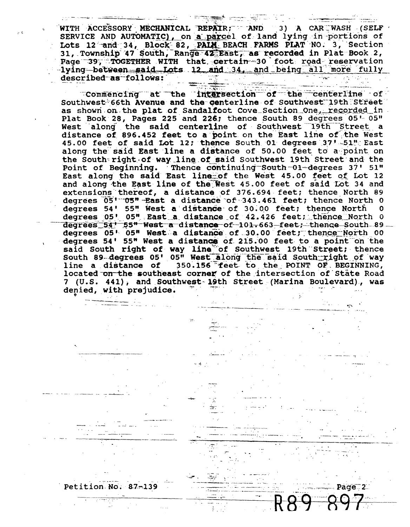WITH ACCESSORY MECHANICAL REPAIR; AND 3) A CAR WASH (SELF SERVICE AND AUTOMATIC), on a parcel of land lying in portions of Lots 12 and 34, Block 82, PAIM BEACH FARMS PLAT NO. 3, Section 31, Township 47 South, Range 42 East, as recorded in Plat Book 2, Page 39, TOGETHER WITH that certain 30 foot road reservation<br>1ying between said Lots 12 and 34, and being all more fully described as follows:

**TERRAH KENDELIKAN KE** 

Commencing at the intersection of the centerline of Southwest 66th Avenue and the centerline of Southwest 19th Street as shown on the plat of Sandalfoot Cove Section One, recorded in Plat Book 28, Pages 225 and 226; thence South 89 degrees 05' 05" West along the said centerline of Southwest 19th Street a distance of 896.452 feet to a point on the East line of the West<br>45.00 feet of said Lot 12; thence South 01 degrees 37'-51" East along the said East line a distance of 50.00 feet to a point on the South right of way line of said Southwest 19th Street and the Point of Beginning. Thence continuing South 01-degrees 37' 51" East along the said East line of the West 45.00 feet of Lot 12 and along the East line of the West 45.00 feet of said Lot 34 and extensions thereof, a distance of 376.694 feet; thence North 89 degrees 05' 05" East a distance of 343.461 feet; thence North 0 degrees 54' 55" West a distance of 30.00 feet; thence North 0 degrees 05' 05" East a distance of 42.426 feet; thence North 0 degrees 54' 55" West a distance of 101.663 feet; thence South 89. degrees 05' 05" West a distance of 30.00 feet; thence North 00 degrees 54' 55" West a distance of 215.00 feet to a point on the said South right of way line of Southwest 19th Street; thence<br>South 89-degrees 05' 05" West along the said South-right of way<br>line a distance of 350.156 feet to the POINT OF BEGINNING, located on the southeast corner of the intersection of State Road 7 (U.S. 441), and Southwest 19th Street (Marina Boulevard), was denied, with prejudice.

Page 2

89-

Petition No. 87-139